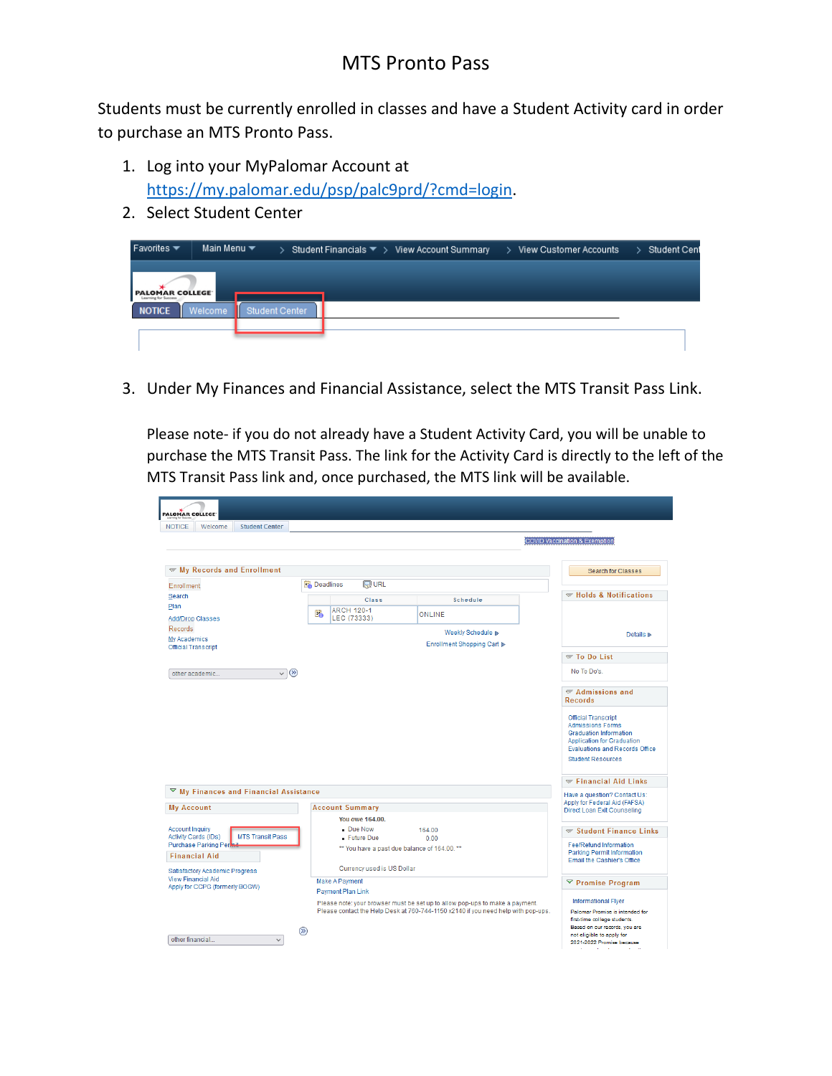## MTS Pronto Pass

Students must be currently enrolled in classes and have a Student Activity card in order to purchase an MTS Pronto Pass.

- 1. Log into your MyPalomar Account at [https://my.palomar.edu/psp/palc9prd/?cmd=login.](https://my.palomar.edu/psp/palc9prd/?cmd=login)
- 2. Select Student Center

| Favorites $\blacktriangledown$                 | Main Menu $\blacktriangledown$ |                       |  |  | > Student Financials $\blacktriangledown$ > View Account Summary > View Customer Accounts | > Student Cent |
|------------------------------------------------|--------------------------------|-----------------------|--|--|-------------------------------------------------------------------------------------------|----------------|
| PALOMAR COLLEGE<br><b>Learning for Success</b> |                                |                       |  |  |                                                                                           |                |
| <b>NOTICE</b>                                  | <b>Welcome</b>                 | <b>Student Center</b> |  |  |                                                                                           |                |
|                                                |                                |                       |  |  |                                                                                           |                |

3. Under My Finances and Financial Assistance, select the MTS Transit Pass Link.

Please note- if you do not already have a Student Activity Card, you will be unable to purchase the MTS Transit Pass. The link for the Activity Card is directly to the left of the MTS Transit Pass link and, once purchased, the MTS link will be available.

| PALOMAR COLLEGE<br><b>NOTICE</b><br>Welcome<br><b>Student Center</b>      |                                               |                                              |                                                                                                                                                                   |                                                                                                                                                                                                  |  |
|---------------------------------------------------------------------------|-----------------------------------------------|----------------------------------------------|-------------------------------------------------------------------------------------------------------------------------------------------------------------------|--------------------------------------------------------------------------------------------------------------------------------------------------------------------------------------------------|--|
|                                                                           |                                               |                                              |                                                                                                                                                                   | COVID Vaccination & Exemption                                                                                                                                                                    |  |
| <b>Wy Records and Enrollment</b>                                          |                                               |                                              |                                                                                                                                                                   | <b>Search for Classes</b>                                                                                                                                                                        |  |
| <b>Enrollment</b>                                                         | <b>Deadlines</b>                              | <b>R</b> URL                                 |                                                                                                                                                                   |                                                                                                                                                                                                  |  |
| Search                                                                    |                                               | Class                                        | Schedule                                                                                                                                                          | Holds & Notifications                                                                                                                                                                            |  |
| Plan                                                                      | Ë.                                            | <b>ARCH 120-1</b>                            | <b>ONLINE</b>                                                                                                                                                     |                                                                                                                                                                                                  |  |
| <b>Add/Drop Classes</b>                                                   |                                               | LEC (73333)                                  |                                                                                                                                                                   |                                                                                                                                                                                                  |  |
| Records<br><b>My Academics</b><br><b>Official Transcript</b>              | Weekly Schedule D<br>Enrollment Shopping Cart |                                              |                                                                                                                                                                   | Details <b>D</b>                                                                                                                                                                                 |  |
|                                                                           |                                               |                                              |                                                                                                                                                                   | $\sqrt{}$ To Do List                                                                                                                                                                             |  |
| $\vee$ $(x)$<br>other academic                                            |                                               |                                              |                                                                                                                                                                   | No To Do's.                                                                                                                                                                                      |  |
|                                                                           |                                               |                                              |                                                                                                                                                                   | $\sqrt{\phantom{a}}$ Admissions and<br><b>Records</b>                                                                                                                                            |  |
|                                                                           |                                               |                                              |                                                                                                                                                                   | <b>Official Transcript</b><br><b>Admissions Forms</b><br><b>Graduation Information</b><br><b>Application for Graduation</b><br><b>Evaluations and Records Office</b><br><b>Student Resources</b> |  |
|                                                                           |                                               |                                              |                                                                                                                                                                   | $\le$ Financial Aid Links                                                                                                                                                                        |  |
| ▽<br>My Finances and Financial Assistance                                 |                                               |                                              |                                                                                                                                                                   | Have a question? Contact Us:<br>Apply for Federal Aid (FAFSA)                                                                                                                                    |  |
| <b>My Account</b>                                                         |                                               | <b>Account Summary</b>                       |                                                                                                                                                                   | Direct Loan Exit Counseling                                                                                                                                                                      |  |
|                                                                           |                                               | You owe 164,00.                              |                                                                                                                                                                   |                                                                                                                                                                                                  |  |
| <b>Account Inquiry</b><br><b>MTS Transit Pass</b><br>Activity Cards (IDs) |                                               | - Due Now<br>- Future Due                    | 164.00<br>0.00                                                                                                                                                    | Student Finance Links                                                                                                                                                                            |  |
| Purchase Parking Per                                                      |                                               | ** You have a past due balance of 164.00. ** |                                                                                                                                                                   | <b>Fee/Refund Information</b>                                                                                                                                                                    |  |
| <b>Financial Aid</b>                                                      |                                               |                                              | Parking Permit Information<br>Email the Cashier's Office                                                                                                          |                                                                                                                                                                                                  |  |
| Satisfactory Academic Progress                                            |                                               | Currency used is US Dollar                   |                                                                                                                                                                   |                                                                                                                                                                                                  |  |
| <b>View Financial Aid</b><br>Apply for CCPG (formerly BOGW)               | Make A Payment                                |                                              |                                                                                                                                                                   | <sup>▽</sup> Promise Program                                                                                                                                                                     |  |
|                                                                           |                                               | Payment Plan Link                            | Informational Flyer                                                                                                                                               |                                                                                                                                                                                                  |  |
|                                                                           |                                               |                                              | Please note: your browser must be set up to allow pop-ups to make a payment.<br>Please contact the Help Desk at 760-744-1150 x2140 if you need help with pop-ups. | Palomar Promise is intended for<br>first-time college students.                                                                                                                                  |  |
| other financial<br>$\sim$                                                 | $\circledR$                                   |                                              |                                                                                                                                                                   | Based on our records, you are<br>not eligible to apply for<br>2021-2022 Promise because<br>and the state of the                                                                                  |  |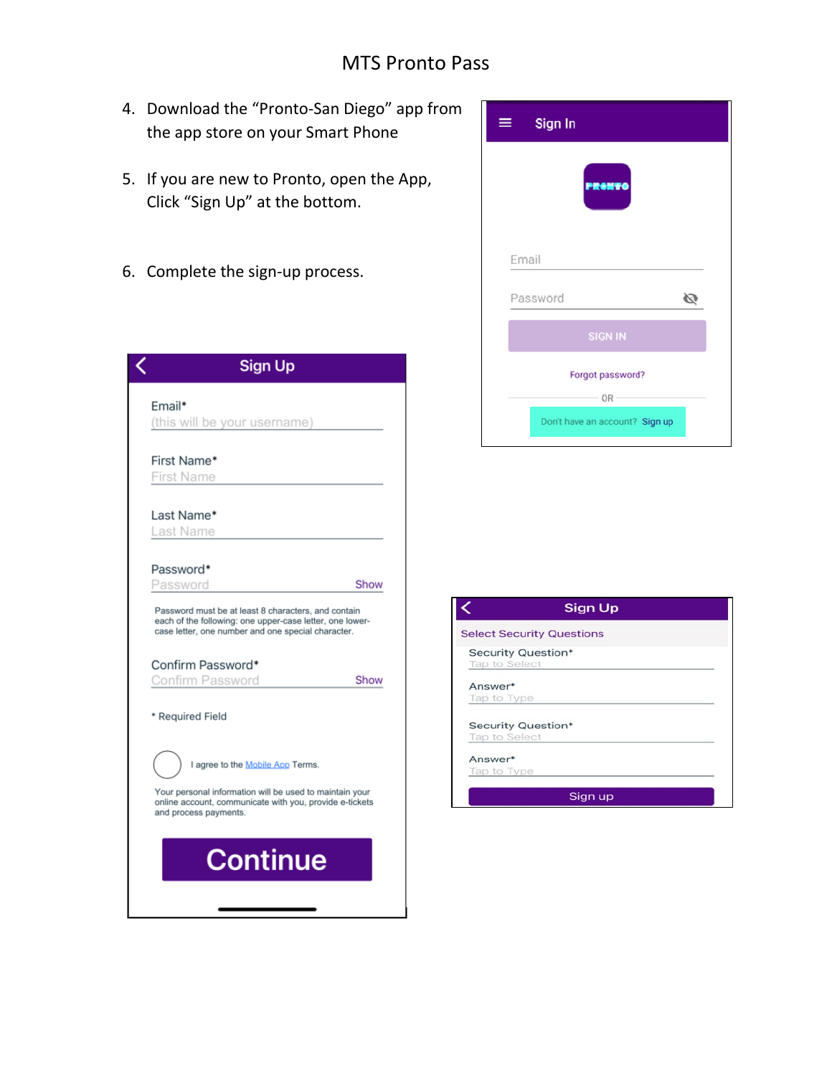## MTS Pronto Pass

- 4. Download the "Pronto-San Diego" app from the app store on your Smart Phone
- 5. If you are new to Pronto, open the App, Click "Sign Up" at the bottom.
- 6. Complete the sign-up process.

| <b>Sign Up</b>                                                                                                                                                        |  |
|-----------------------------------------------------------------------------------------------------------------------------------------------------------------------|--|
| Email*<br>(this will be your username)                                                                                                                                |  |
| First Name*<br>First Name                                                                                                                                             |  |
| Last Name*<br>Last Name                                                                                                                                               |  |
| Password*<br>Password<br>Show                                                                                                                                         |  |
| Password must be at least 8 characters, and contain<br>each of the following: one upper-case letter, one lower-<br>case letter, one number and one special character. |  |
| Confirm Password*<br>Confirm Password<br>Show                                                                                                                         |  |
| * Required Field                                                                                                                                                      |  |
| I agree to the Mobile App Terms.                                                                                                                                      |  |
| Your personal information will be used to maintain your<br>online account, communicate with you, provide e-tickets<br>and process payments.                           |  |
| <b>Continue</b>                                                                                                                                                       |  |
|                                                                                                                                                                       |  |

| Sign In                        |
|--------------------------------|
|                                |
| Email                          |
| Password                       |
| <b>SIGN IN</b>                 |
| Forgot password?               |
| OR-                            |
| Don't have an account? Sign up |

| <b>Select Security Questions</b> |  |
|----------------------------------|--|
| Security Question*               |  |
| Tap to Select                    |  |
| Answer*                          |  |
| Tap to Type                      |  |
|                                  |  |
| Security Question*               |  |
| Tap to Select                    |  |
| Answer*                          |  |
| Tap to Type                      |  |
| Sign up                          |  |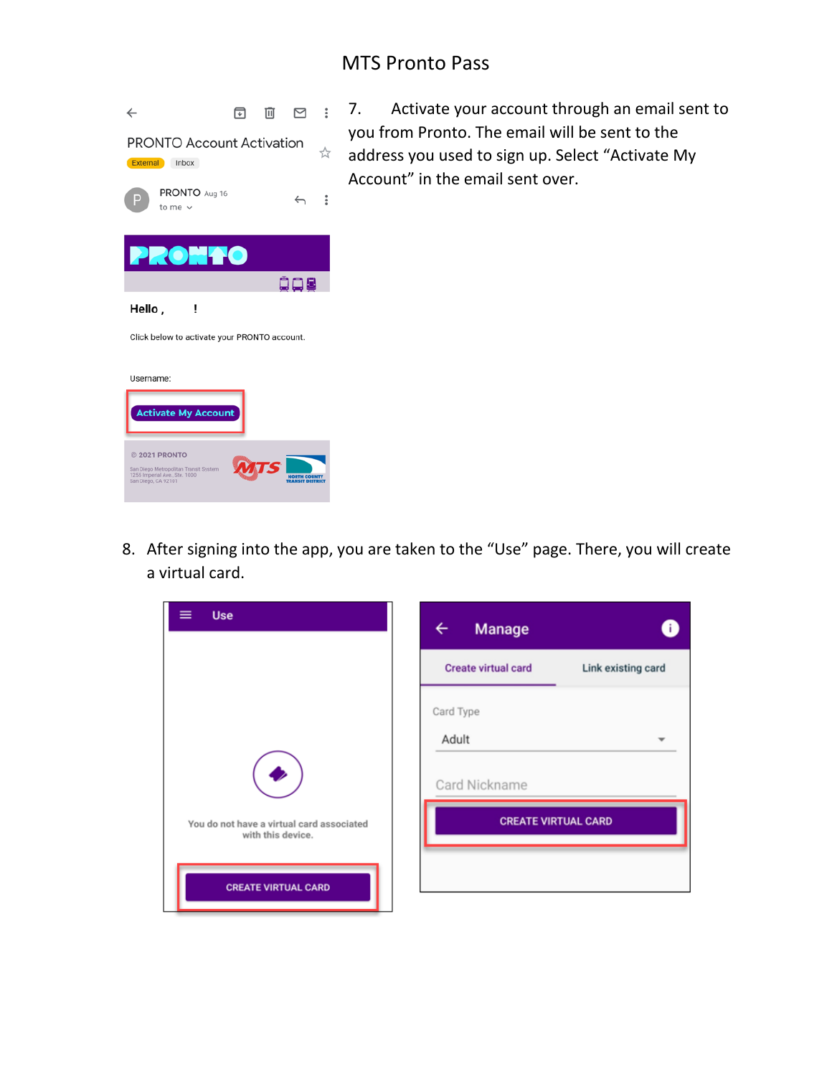## MTS Pronto Pass



□ □ □ : 7. Activate your account through an email sent to you from Pronto. The email will be sent to the address you used to sign up. Select "Activate My Account" in the email sent over.

8. After signing into the app, you are taken to the "Use" page. There, you will create a virtual card.